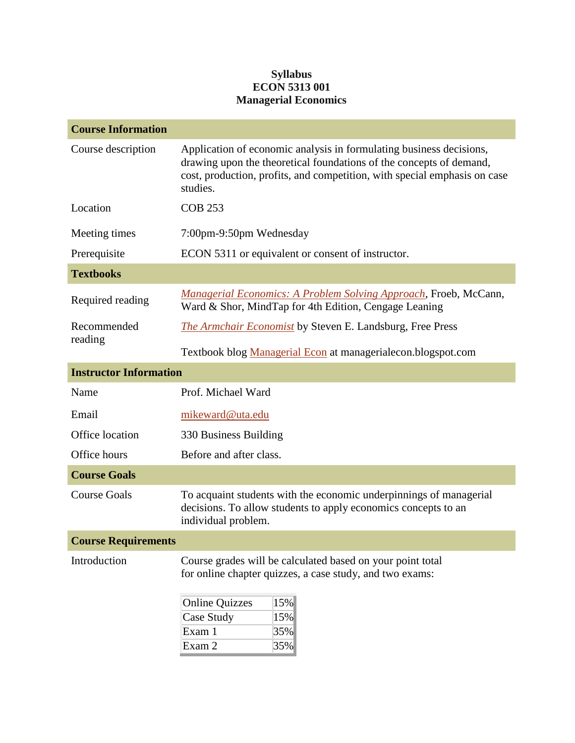## **Syllabus ECON 5313 001 Managerial Economics**

| <b>Course Information</b>     |                                                                                                                                                                                                                                     |  |  |  |
|-------------------------------|-------------------------------------------------------------------------------------------------------------------------------------------------------------------------------------------------------------------------------------|--|--|--|
| Course description            | Application of economic analysis in formulating business decisions,<br>drawing upon the theoretical foundations of the concepts of demand,<br>cost, production, profits, and competition, with special emphasis on case<br>studies. |  |  |  |
| Location                      | <b>COB 253</b>                                                                                                                                                                                                                      |  |  |  |
| Meeting times                 | 7:00pm-9:50pm Wednesday                                                                                                                                                                                                             |  |  |  |
| Prerequisite                  | ECON 5311 or equivalent or consent of instructor.                                                                                                                                                                                   |  |  |  |
| <b>Textbooks</b>              |                                                                                                                                                                                                                                     |  |  |  |
| Required reading              | <b>Managerial Economics: A Problem Solving Approach, Froeb, McCann,</b><br>Ward & Shor, MindTap for 4th Edition, Cengage Leaning                                                                                                    |  |  |  |
| Recommended                   | <b>The Armchair Economist</b> by Steven E. Landsburg, Free Press                                                                                                                                                                    |  |  |  |
| reading                       | Textbook blog Managerial Econ at managerialecon.blogspot.com                                                                                                                                                                        |  |  |  |
| <b>Instructor Information</b> |                                                                                                                                                                                                                                     |  |  |  |
| Name                          | Prof. Michael Ward                                                                                                                                                                                                                  |  |  |  |
| Email                         | mikeward@uta.edu                                                                                                                                                                                                                    |  |  |  |
| Office location               | 330 Business Building                                                                                                                                                                                                               |  |  |  |
| Office hours                  | Before and after class.                                                                                                                                                                                                             |  |  |  |
| <b>Course Goals</b>           |                                                                                                                                                                                                                                     |  |  |  |
| <b>Course Goals</b>           | To acquaint students with the economic underpinnings of managerial<br>decisions. To allow students to apply economics concepts to an<br>individual problem.                                                                         |  |  |  |
| <b>Course Requirements</b>    |                                                                                                                                                                                                                                     |  |  |  |
| Introduction                  | Course grades will be calculated based on your point total<br>for online chapter quizzes, a case study, and two exams:                                                                                                              |  |  |  |
|                               | 15%<br><b>Online Quizzes</b><br><b>Case Study</b><br>15%<br>Exam 1<br>35%<br>Exam 2<br>$ 35\% $                                                                                                                                     |  |  |  |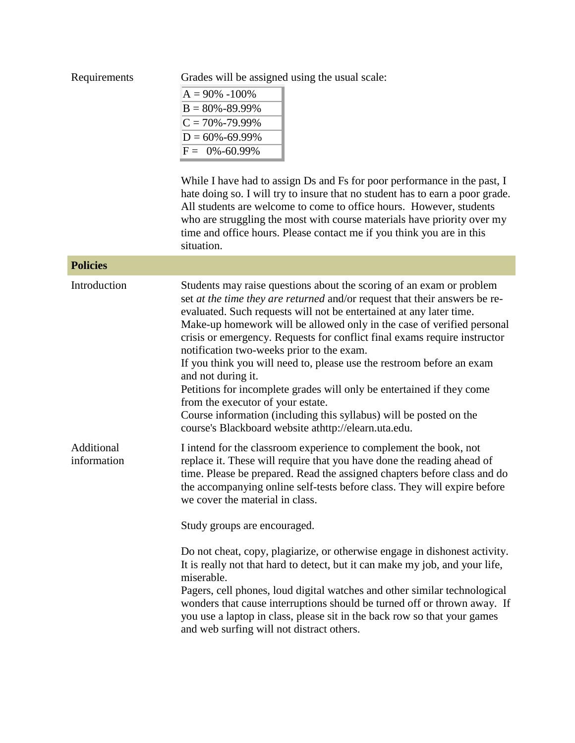| Requirements              | Grades will be assigned using the usual scale:<br>$A = 90\% - 100\%$<br>$B = 80\% - 89.99\%$<br>$C = 70\% - 79.99\%$<br>$D = 60\% - 69.99\%$<br>$F = 0\% - 60.99\%$<br>While I have had to assign Ds and Fs for poor performance in the past, I<br>hate doing so. I will try to insure that no student has to earn a poor grade.<br>All students are welcome to come to office hours. However, students<br>who are struggling the most with course materials have priority over my<br>time and office hours. Please contact me if you think you are in this<br>situation.                                                                                                                                                                                                |  |
|---------------------------|--------------------------------------------------------------------------------------------------------------------------------------------------------------------------------------------------------------------------------------------------------------------------------------------------------------------------------------------------------------------------------------------------------------------------------------------------------------------------------------------------------------------------------------------------------------------------------------------------------------------------------------------------------------------------------------------------------------------------------------------------------------------------|--|
| <b>Policies</b>           |                                                                                                                                                                                                                                                                                                                                                                                                                                                                                                                                                                                                                                                                                                                                                                          |  |
| Introduction              | Students may raise questions about the scoring of an exam or problem<br>set at the time they are returned and/or request that their answers be re-<br>evaluated. Such requests will not be entertained at any later time.<br>Make-up homework will be allowed only in the case of verified personal<br>crisis or emergency. Requests for conflict final exams require instructor<br>notification two-weeks prior to the exam.<br>If you think you will need to, please use the restroom before an exam<br>and not during it.<br>Petitions for incomplete grades will only be entertained if they come<br>from the executor of your estate.<br>Course information (including this syllabus) will be posted on the<br>course's Blackboard website athttp://elearn.uta.edu. |  |
| Additional<br>information | I intend for the classroom experience to complement the book, not<br>replace it. These will require that you have done the reading ahead of<br>time. Please be prepared. Read the assigned chapters before class and do<br>the accompanying online self-tests before class. They will expire before<br>we cover the material in class.<br>Study groups are encouraged.<br>Do not cheat, copy, plagiarize, or otherwise engage in dishonest activity.<br>It is really not that hard to detect, but it can make my job, and your life,<br>miserable.<br>Pagers, cell phones, loud digital watches and other similar technological<br>wonders that cause interruptions should be turned off or thrown away. If                                                              |  |
|                           | you use a laptop in class, please sit in the back row so that your games<br>and web surfing will not distract others.                                                                                                                                                                                                                                                                                                                                                                                                                                                                                                                                                                                                                                                    |  |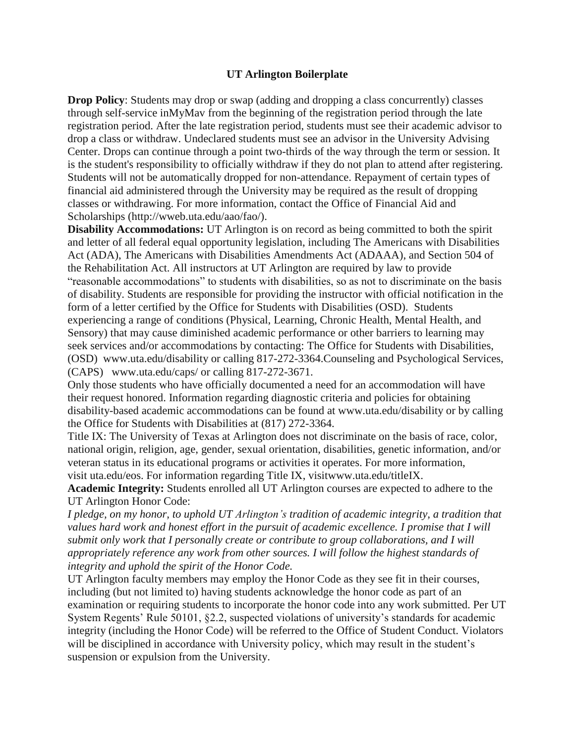## **UT Arlington Boilerplate**

**Drop Policy**: Students may drop or swap (adding and dropping a class concurrently) classes through self-service inMyMav from the beginning of the registration period through the late registration period. After the late registration period, students must see their academic advisor to drop a class or withdraw. Undeclared students must see an advisor in the University Advising Center. Drops can continue through a point two-thirds of the way through the term or session. It is the student's responsibility to officially withdraw if they do not plan to attend after registering. Students will not be automatically dropped for non-attendance. Repayment of certain types of financial aid administered through the University may be required as the result of dropping classes or withdrawing. For more information, contact the Office of Financial Aid and Scholarships (http://wweb.uta.edu/aao/fao/).

**Disability Accommodations:** UT Arlington is on record as being committed to both the spirit and letter of all federal equal opportunity legislation, including The Americans with Disabilities Act (ADA), The Americans with Disabilities Amendments Act (ADAAA), and Section 504 of the Rehabilitation Act. All instructors at UT Arlington are required by law to provide "reasonable accommodations" to students with disabilities, so as not to discriminate on the basis of disability. Students are responsible for providing the instructor with official notification in the form of a letter certified by the Office for Students with Disabilities (OSD). Students experiencing a range of conditions (Physical, Learning, Chronic Health, Mental Health, and Sensory) that may cause diminished academic performance or other barriers to learning may seek services and/or accommodations by contacting: The Office for Students with Disabilities, (OSD) www.uta.edu/disability or calling 817-272-3364.Counseling and Psychological Services, (CAPS) www.uta.edu/caps/ or calling 817-272-3671.

Only those students who have officially documented a need for an accommodation will have their request honored. Information regarding diagnostic criteria and policies for obtaining disability-based academic accommodations can be found at www.uta.edu/disability or by calling the Office for Students with Disabilities at (817) 272-3364.

Title IX: The University of Texas at Arlington does not discriminate on the basis of race, color, national origin, religion, age, gender, sexual orientation, disabilities, genetic information, and/or veteran status in its educational programs or activities it operates. For more information, visit uta.edu/eos. For information regarding Title IX, visitwww.uta.edu/titleIX.

**Academic Integrity:** Students enrolled all UT Arlington courses are expected to adhere to the UT Arlington Honor Code:

*I pledge, on my honor, to uphold UT Arlington's tradition of academic integrity, a tradition that values hard work and honest effort in the pursuit of academic excellence. I promise that I will submit only work that I personally create or contribute to group collaborations, and I will appropriately reference any work from other sources. I will follow the highest standards of integrity and uphold the spirit of the Honor Code.*

UT Arlington faculty members may employ the Honor Code as they see fit in their courses, including (but not limited to) having students acknowledge the honor code as part of an examination or requiring students to incorporate the honor code into any work submitted. Per UT System Regents' Rule 50101, §2.2, suspected violations of university's standards for academic integrity (including the Honor Code) will be referred to the Office of Student Conduct. Violators will be disciplined in accordance with University policy, which may result in the student's suspension or expulsion from the University.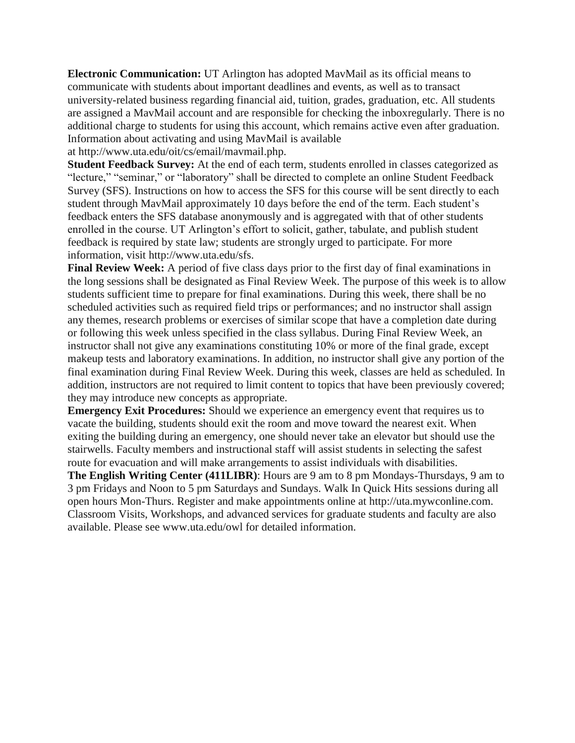**Electronic Communication:** UT Arlington has adopted MavMail as its official means to communicate with students about important deadlines and events, as well as to transact university-related business regarding financial aid, tuition, grades, graduation, etc. All students are assigned a MavMail account and are responsible for checking the inboxregularly. There is no additional charge to students for using this account, which remains active even after graduation. Information about activating and using MavMail is available

at http://www.uta.edu/oit/cs/email/mavmail.php.

**Student Feedback Survey:** At the end of each term, students enrolled in classes categorized as "lecture," "seminar," or "laboratory" shall be directed to complete an online Student Feedback Survey (SFS). Instructions on how to access the SFS for this course will be sent directly to each student through MavMail approximately 10 days before the end of the term. Each student's feedback enters the SFS database anonymously and is aggregated with that of other students enrolled in the course. UT Arlington's effort to solicit, gather, tabulate, and publish student feedback is required by state law; students are strongly urged to participate. For more information, visit http://www.uta.edu/sfs.

**Final Review Week:** A period of five class days prior to the first day of final examinations in the long sessions shall be designated as Final Review Week. The purpose of this week is to allow students sufficient time to prepare for final examinations. During this week, there shall be no scheduled activities such as required field trips or performances; and no instructor shall assign any themes, research problems or exercises of similar scope that have a completion date during or following this week unless specified in the class syllabus. During Final Review Week, an instructor shall not give any examinations constituting 10% or more of the final grade, except makeup tests and laboratory examinations. In addition, no instructor shall give any portion of the final examination during Final Review Week. During this week, classes are held as scheduled. In addition, instructors are not required to limit content to topics that have been previously covered; they may introduce new concepts as appropriate.

**Emergency Exit Procedures:** Should we experience an emergency event that requires us to vacate the building, students should exit the room and move toward the nearest exit. When exiting the building during an emergency, one should never take an elevator but should use the stairwells. Faculty members and instructional staff will assist students in selecting the safest route for evacuation and will make arrangements to assist individuals with disabilities.

**The English Writing Center (411LIBR)**: Hours are 9 am to 8 pm Mondays-Thursdays, 9 am to 3 pm Fridays and Noon to 5 pm Saturdays and Sundays. Walk In Quick Hits sessions during all open hours Mon-Thurs. Register and make appointments online at http://uta.mywconline.com. Classroom Visits, Workshops, and advanced services for graduate students and faculty are also available. Please see www.uta.edu/owl for detailed information.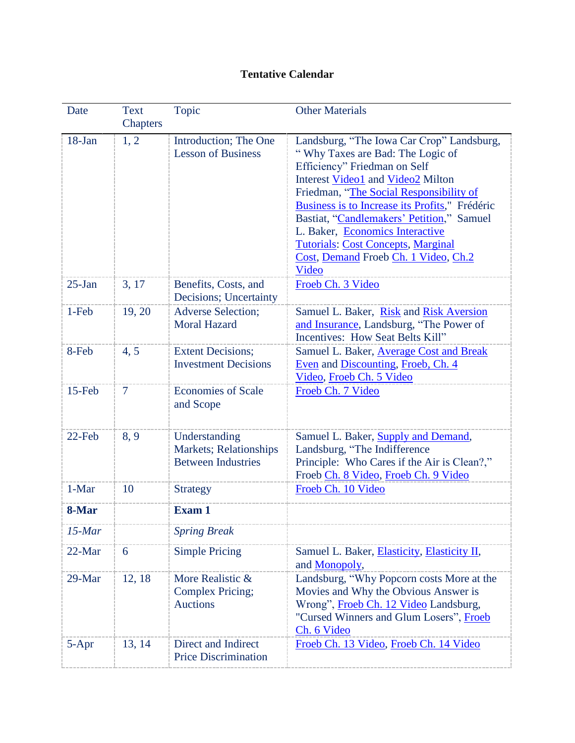## **Tentative Calendar**

| Date       | <b>Text</b><br><b>Chapters</b> | Topic                                                                | <b>Other Materials</b>                                                                                                                                                                                                                                                                                                                                                                                                        |
|------------|--------------------------------|----------------------------------------------------------------------|-------------------------------------------------------------------------------------------------------------------------------------------------------------------------------------------------------------------------------------------------------------------------------------------------------------------------------------------------------------------------------------------------------------------------------|
| $18 - Jan$ | 1, 2                           | Introduction; The One<br><b>Lesson of Business</b>                   | Landsburg, "The Iowa Car Crop" Landsburg,<br>"Why Taxes are Bad: The Logic of<br>Efficiency" Friedman on Self<br>Interest Video1 and Video2 Milton<br>Friedman, "The Social Responsibility of<br>Business is to Increase its Profits," Frédéric<br>Bastiat, "Candlemakers' Petition," Samuel<br>L. Baker, Economics Interactive<br><b>Tutorials: Cost Concepts, Marginal</b><br>Cost, Demand Froeb Ch. 1 Video, Ch.2<br>Video |
| $25-Ian$   | 3, 17                          | Benefits, Costs, and<br>Decisions; Uncertainty                       | Froeb Ch. 3 Video                                                                                                                                                                                                                                                                                                                                                                                                             |
| 1-Feb      | 19, 20                         | <b>Adverse Selection;</b><br><b>Moral Hazard</b>                     | Samuel L. Baker, Risk and Risk Aversion<br>and Insurance, Landsburg, "The Power of<br>Incentives: How Seat Belts Kill"                                                                                                                                                                                                                                                                                                        |
| 8-Feb      | 4, 5                           | <b>Extent Decisions;</b><br><b>Investment Decisions</b>              | Samuel L. Baker, Average Cost and Break<br>Even and Discounting, Froeb, Ch. 4<br>Video, Froeb Ch. 5 Video                                                                                                                                                                                                                                                                                                                     |
| 15-Feb     | $\tau$                         | <b>Economies of Scale</b><br>and Scope                               | Froeb Ch. 7 Video                                                                                                                                                                                                                                                                                                                                                                                                             |
| 22-Feb     | 8,9                            | Understanding<br>Markets; Relationships<br><b>Between Industries</b> | Samuel L. Baker, Supply and Demand,<br>Landsburg, "The Indifference<br>Principle: Who Cares if the Air is Clean?,"<br>Froeb Ch. 8 Video, Froeb Ch. 9 Video                                                                                                                                                                                                                                                                    |
| 1-Mar      | 10                             | <b>Strategy</b>                                                      | Froeb Ch. 10 Video                                                                                                                                                                                                                                                                                                                                                                                                            |
| 8-Mar      |                                | <b>Exam 1</b>                                                        |                                                                                                                                                                                                                                                                                                                                                                                                                               |
| $15$ -Mar  |                                | <b>Spring Break</b>                                                  |                                                                                                                                                                                                                                                                                                                                                                                                                               |
| 22-Mar     | 6                              | <b>Simple Pricing</b>                                                | Samuel L. Baker, Elasticity, Elasticity II,<br>and Monopoly,                                                                                                                                                                                                                                                                                                                                                                  |
| 29-Mar     | 12, 18                         | More Realistic &<br><b>Complex Pricing;</b><br><b>Auctions</b>       | Landsburg, "Why Popcorn costs More at the<br>Movies and Why the Obvious Answer is<br>Wrong", Froeb Ch. 12 Video Landsburg,<br>"Cursed Winners and Glum Losers", Froeb<br>Ch. 6 Video                                                                                                                                                                                                                                          |
| $5 - Apr$  | 13, 14                         | Direct and Indirect<br><b>Price Discrimination</b>                   | Froeb Ch. 13 Video, Froeb Ch. 14 Video                                                                                                                                                                                                                                                                                                                                                                                        |